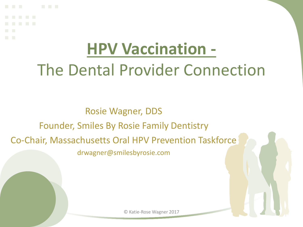## **HPV Vaccination -** The Dental Provider Connection

Rosie Wagner, DDS Founder, Smiles By Rosie Family Dentistry Co-Chair, Massachusetts Oral HPV Prevention Taskforce drwagner@smilesbyrosie.com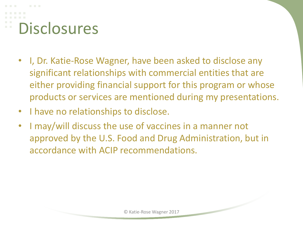# **Disclosures**

- I, Dr. Katie-Rose Wagner, have been asked to disclose any significant relationships with commercial entities that are either providing financial support for this program or whose products or services are mentioned during my presentations.
- I have no relationships to disclose.
- I may/will discuss the use of vaccines in a manner not approved by the U.S. Food and Drug Administration, but in accordance with ACIP recommendations.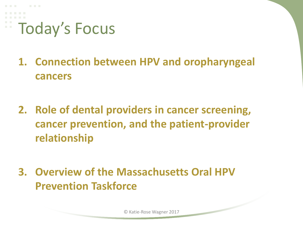

- **1. Connection between HPV and oropharyngeal cancers**
- **2. Role of dental providers in cancer screening, cancer prevention, and the patient-provider relationship**
- **3. Overview of the Massachusetts Oral HPV Prevention Taskforce**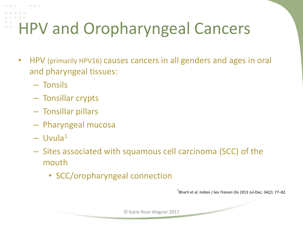## HPV and Oropharyngeal Cancers

- HPV (primarily HPV16) causes cancers in all genders and ages in oral and pharyngeal tissues:
	- Tonsils
	- Tonsillar crypts
	- Tonsillar pillars
	- Pharyngeal mucosa
	- $-$  Uvula<sup>1</sup>
	- Sites associated with squamous cell carcinoma (SCC) of the mouth
		- SCC/oropharyngeal connection

1 Bharti et al. *Indian J Sex Transm Dis* 2013 Jul-Dec; 34(2): 77–82.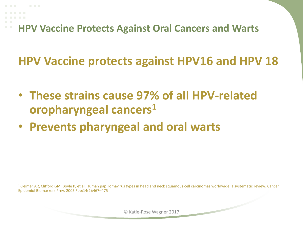**HPV Vaccine Protects Against Oral Cancers and Warts**

**HPV Vaccine protects against HPV16 and HPV 18**

- **These strains cause 97% of all HPV-related oropharyngeal cancers<sup>1</sup>**
- **Prevents pharyngeal and oral warts**

**<sup>1</sup>**Kreimer AR, Clifford GM, Boyle P, et al. Human papillomavirus types in head and neck squamous cell carcinomas worldwide: a systematic review. Cancer Epidemiol Biomarkers Prev. 2005 Feb;14(2):467–475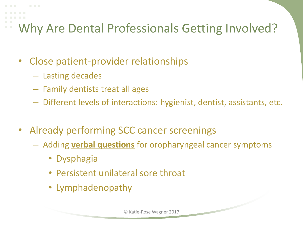## Why Are Dental Professionals Getting Involved?

- Close patient-provider relationships
	- Lasting decades
	- Family dentists treat all ages
	- Different levels of interactions: hygienist, dentist, assistants, etc.
- Already performing SCC cancer screenings
	- Adding **verbal questions** for oropharyngeal cancer symptoms
		- Dysphagia
		- Persistent unilateral sore throat
		- Lymphadenopathy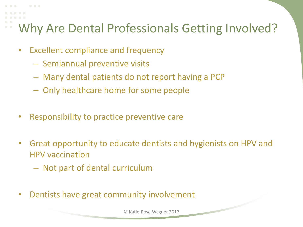### Why Are Dental Professionals Getting Involved?

- Excellent compliance and frequency
	- Semiannual preventive visits
	- Many dental patients do not report having a PCP
	- Only healthcare home for some people
- Responsibility to practice preventive care
- Great opportunity to educate dentists and hygienists on HPV and HPV vaccination
	- Not part of dental curriculum
- Dentists have great community involvement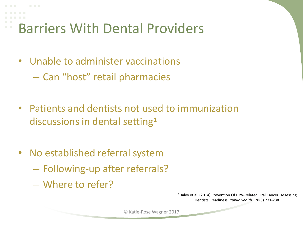Barriers With Dental Providers

- Unable to administer vaccinations – Can "host" retail pharmacies
- Patients and dentists not used to immunization discussions in dental setting**<sup>1</sup>**
- No established referral system
	- Following-up after referrals?
	- Where to refer?

**<sup>1</sup>**Daley et al. (2014) Prevention Of HPV-Related Oral Cancer: Assessing Dentists' Readiness. *Public Health* 128(3) 231-238.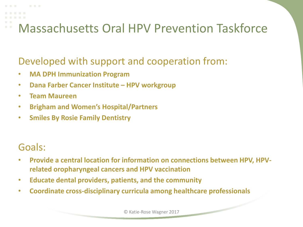#### Developed with support and cooperation from:

- **MA DPH Immunization Program**
- **Dana Farber Cancer Institute – HPV workgroup**
- **Team Maureen**
- **Brigham and Women's Hospital/Partners**
- **Smiles By Rosie Family Dentistry**

#### Goals:

- **Provide a central location for information on connections between HPV, HPVrelated oropharyngeal cancers and HPV vaccination**
- **Educate dental providers, patients, and the community**
- **Coordinate cross-disciplinary curricula among healthcare professionals**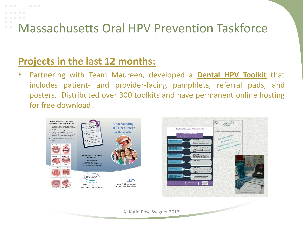### **Projects in the last 12 months:**

• Partnering with Team Maureen, developed a **Dental HPV Toolkit** that includes patient- and provider-facing pamphlets, referral pads, and posters. Distributed over 300 toolkits and have permanent online hosting for free download.

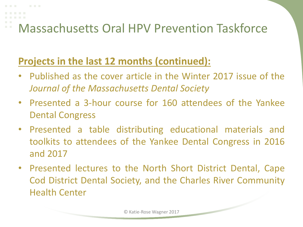### **Projects in the last 12 months (continued):**

- Published as the cover article in the Winter 2017 issue of the *Journal of the Massachusetts Dental Society*
- Presented a 3-hour course for 160 attendees of the Yankee Dental Congress
- Presented a table distributing educational materials and toolkits to attendees of the Yankee Dental Congress in 2016 and 2017
- Presented lectures to the North Short District Dental, Cape Cod District Dental Society, and the Charles River Community Health Center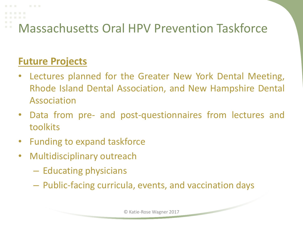### **Future Projects**

- Lectures planned for the Greater New York Dental Meeting, Rhode Island Dental Association, and New Hampshire Dental Association
- Data from pre- and post-questionnaires from lectures and toolkits
- Funding to expand taskforce
- Multidisciplinary outreach
	- Educating physicians
	- Public-facing curricula, events, and vaccination days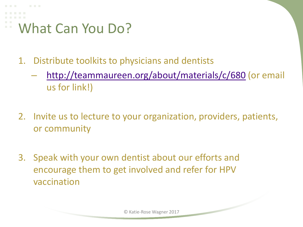# What Can You Do?

- 1. Distribute toolkits to physicians and dentists
	- <http://teammaureen.org/about/materials/c/680> (or email us for link!)
- 2. Invite us to lecture to your organization, providers, patients, or community
- 3. Speak with your own dentist about our efforts and encourage them to get involved and refer for HPV vaccination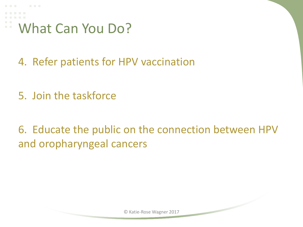What Can You Do?

- 4. Refer patients for HPV vaccination
- 5. Join the taskforce

6. Educate the public on the connection between HPV and oropharyngeal cancers